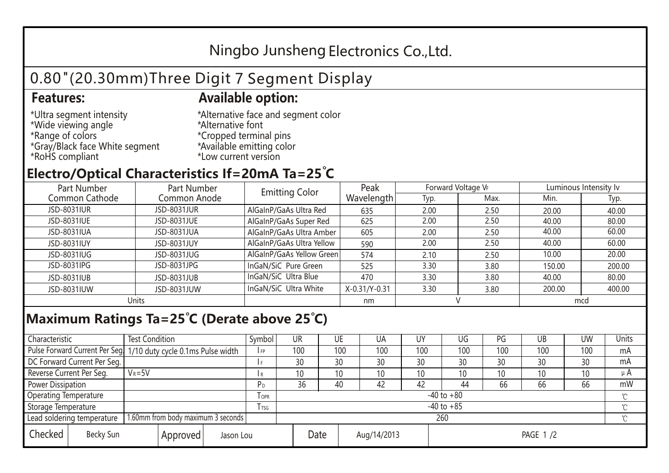## Ningbo Junsheng Electronics Co.,Ltd.

# 0.80"(20.30mm)Three Digit 7 Segment Display

### **Features: Available option:**

- \*Ultra segment intensity \*Wide viewing angle \*Range of colors \*Gray/Black face White segment \*RoHS compliant
- \*Alternative face and segment color \*Alternative font \*Cropped terminal pins \*Available emitting color \*Low current version

### **Electro/Optical Characteristics If=20mA Ta=25 C**

| Part Number<br>Part Number |              | <b>Emitting Color</b>     | Peak          | Forward Voltage VF |      | Luminous Intensity lv |        |  |
|----------------------------|--------------|---------------------------|---------------|--------------------|------|-----------------------|--------|--|
| Common Cathode             | Common Anode |                           | Wavelength    | Typ.               | Max. | Min.                  | Typ.   |  |
| JSD-8031IUR                | JSD-8031JUR  | AlGaInP/GaAs Ultra Red    | 635           | 2.00               | 2.50 | 20.00                 | 40.00  |  |
| JSD-8031IUE                | JSD-8031JUE  | AlGaInP/GaAs Super Red    | 625           | 2.00               | 2.50 | 40.00                 | 80.00  |  |
| JSD-8031IUA                | JSD-8031JUA  | AlGaInP/GaAs Ultra Amber  | 605           | 2.00               | 2.50 | 40.00                 | 60.00  |  |
| JSD-8031IUY                | JSD-8031JUY  | AlGaInP/GaAs Ultra Yellow | 590           | 2.00               | 2.50 | 40.00                 | 60.00  |  |
| JSD-8031IUG                | JSD-8031JUG  | AlGaInP/GaAs Yellow Green | 574           | 2.10               | 2.50 | 10.00                 | 20.00  |  |
| JSD-8031IPG                | JSD-8031JPG  | InGaN/SiC Pure Green      | 525           | 3.30               | 3.80 | 150.00                | 200.00 |  |
| JSD-8031IUB                | JSD-8031JUB  | InGaN/SiC Ultra Blue      | 470           | 3.30               | 3.80 | 40.00                 | 80.00  |  |
| JSD-8031IUW                | JSD-8031JUW  | InGaN/SiC Ultra White     | X-0.31/Y-0.31 | 3.30               | 3.80 | 200.00                | 400.00 |  |
| Units                      |              |                           | nm            |                    |      | mcd                   |        |  |

### **Maximum Ratings Ta=25°C (Derate above 25°C)**

| Characteristic                                |  | <b>Test Condition</b>                                            |                     |                | Symbol         | UR  |          | UE  | UA  | UY  | UG              | PG  | UB           | <b>UW</b> | Units   |
|-----------------------------------------------|--|------------------------------------------------------------------|---------------------|----------------|----------------|-----|----------|-----|-----|-----|-----------------|-----|--------------|-----------|---------|
|                                               |  | Pulse Forward Current Per Seg. 1/10 duty cycle 0.1ms Pulse width |                     |                | IFP            | 100 |          | 100 | 100 | 100 | 100             | 100 | 100          | 100       | mA      |
| DC Forward Current Per Seg.                   |  |                                                                  |                     |                |                | 30  |          | 30  | 30  | 30  | 30              | 30  | 30           | 30        | mA      |
| Reverse Current Per Seg.                      |  | $V_R = 5V$                                                       |                     |                | I R            | 10  |          | 10  | 10  | 10  | 10 <sup>°</sup> | 10  | 10           | 10        | $\mu$ A |
| <b>Power Dissipation</b>                      |  |                                                                  |                     |                | P <sub>D</sub> | 36  |          | 40  | 42  | 42  | 44              | 66  | 66           | 66        | mW      |
| <b>Operating Temperature</b>                  |  |                                                                  | $I$ OPR             | $-40$ to $+80$ |                |     |          |     |     |     |                 |     | $\gamma$     |           |         |
| Storage Temperature                           |  |                                                                  | I TSG               | $-40$ to $+85$ |                |     |          |     |     |     |                 |     | $^{\circ}$ C |           |         |
| Lead soldering temperature                    |  | 1.60mm from body maximum 3 seconds                               |                     |                |                | 260 |          |     |     |     |                 |     |              |           |         |
| Checked<br>Becky Sun<br>Approved<br>Jason Lou |  |                                                                  | Date<br>Aug/14/2013 |                |                |     | PAGE 1/2 |     |     |     |                 |     |              |           |         |